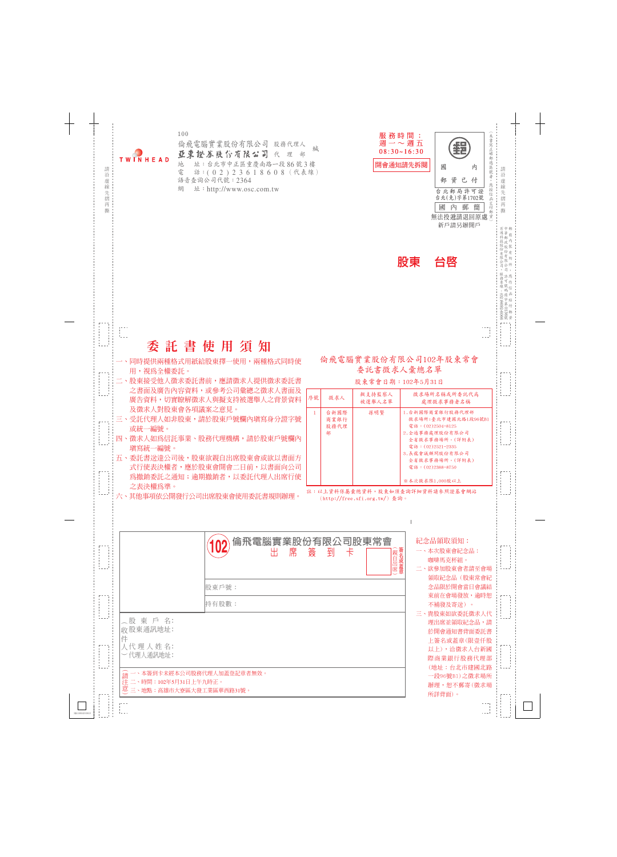